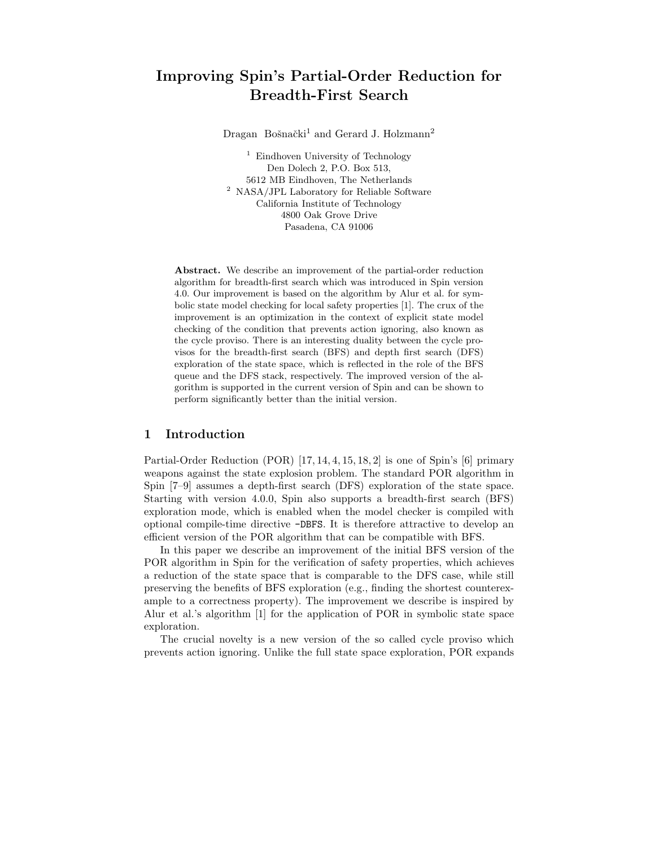# **Improving Spin's Partial-Order Reduction for Breadth-First Search**

Dragan Bošnački<sup>1</sup> and Gerard J. Holzmann<sup>2</sup>

<sup>1</sup> Eindhoven University of Technology Den Dolech 2, P.O. Box 513, 5612 MB Eindhoven, The Netherlands  $^2\,$  NASA/JPL Laboratory for Reliable Software California Institute of Technology 4800 Oak Grove Drive Pasadena, CA 91006

**Abstract.** We describe an improvement of the partial-order reduction algorithm for breadth-first search which was introduced in Spin version 4.0. Our improvement is based on the algorithm by Alur et al. for symbolic state model checking for local safety properties [1]. The crux of the improvement is an optimization in the context of explicit state model checking of the condition that prevents action ignoring, also known as the cycle proviso. There is an interesting duality between the cycle provisos for the breadth-first search (BFS) and depth first search (DFS) exploration of the state space, which is reflected in the role of the BFS queue and the DFS stack, respectively. The improved version of the algorithm is supported in the current version of Spin and can be shown to perform significantly better than the initial version.

# **1 Introduction**

Partial-Order Reduction (POR) [17, 14, 4, 15, 18, 2] is one of Spin's [6] primary weapons against the state explosion problem. The standard POR algorithm in Spin [7–9] assumes a depth-first search (DFS) exploration of the state space. Starting with version 4.0.0, Spin also supports a breadth-first search (BFS) exploration mode, which is enabled when the model checker is compiled with optional compile-time directive -DBFS. It is therefore attractive to develop an efficient version of the POR algorithm that can be compatible with BFS.

In this paper we describe an improvement of the initial BFS version of the POR algorithm in Spin for the verification of safety properties, which achieves a reduction of the state space that is comparable to the DFS case, while still preserving the benefits of BFS exploration (e.g., finding the shortest counterexample to a correctness property). The improvement we describe is inspired by Alur et al.'s algorithm [1] for the application of POR in symbolic state space exploration.

The crucial novelty is a new version of the so called cycle proviso which prevents action ignoring. Unlike the full state space exploration, POR expands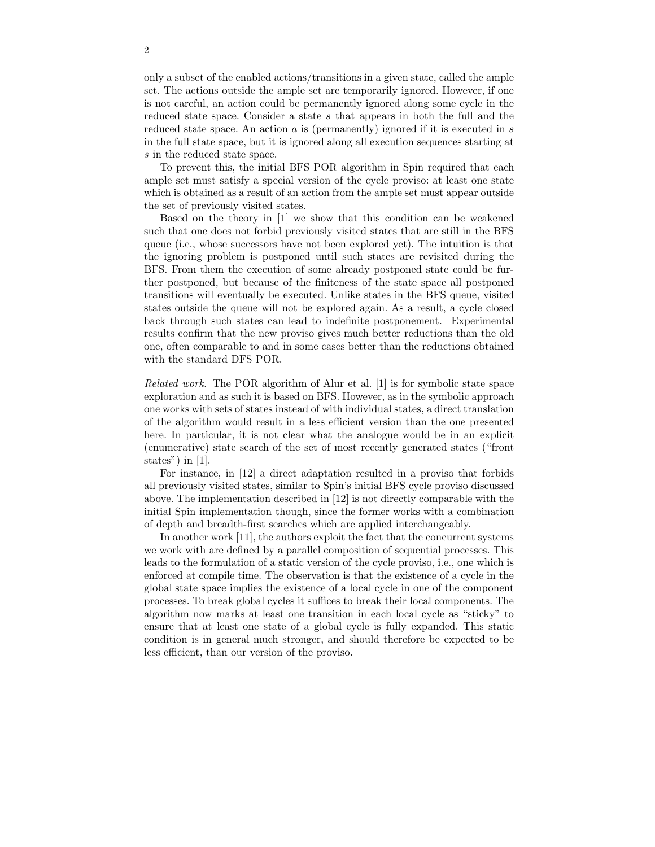only a subset of the enabled actions/transitions in a given state, called the ample set. The actions outside the ample set are temporarily ignored. However, if one is not careful, an action could be permanently ignored along some cycle in the reduced state space. Consider a state s that appears in both the full and the reduced state space. An action  $a$  is (permanently) ignored if it is executed in  $s$ in the full state space, but it is ignored along all execution sequences starting at s in the reduced state space.

To prevent this, the initial BFS POR algorithm in Spin required that each ample set must satisfy a special version of the cycle proviso: at least one state which is obtained as a result of an action from the ample set must appear outside the set of previously visited states.

Based on the theory in [1] we show that this condition can be weakened such that one does not forbid previously visited states that are still in the BFS queue (i.e., whose successors have not been explored yet). The intuition is that the ignoring problem is postponed until such states are revisited during the BFS. From them the execution of some already postponed state could be further postponed, but because of the finiteness of the state space all postponed transitions will eventually be executed. Unlike states in the BFS queue, visited states outside the queue will not be explored again. As a result, a cycle closed back through such states can lead to indefinite postponement. Experimental results confirm that the new proviso gives much better reductions than the old one, often comparable to and in some cases better than the reductions obtained with the standard DFS POR.

*Related work.* The POR algorithm of Alur et al. [1] is for symbolic state space exploration and as such it is based on BFS. However, as in the symbolic approach one works with sets of states instead of with individual states, a direct translation of the algorithm would result in a less efficient version than the one presented here. In particular, it is not clear what the analogue would be in an explicit (enumerative) state search of the set of most recently generated states ("front states") in [1].

For instance, in [12] a direct adaptation resulted in a proviso that forbids all previously visited states, similar to Spin's initial BFS cycle proviso discussed above. The implementation described in [12] is not directly comparable with the initial Spin implementation though, since the former works with a combination of depth and breadth-first searches which are applied interchangeably.

In another work [11], the authors exploit the fact that the concurrent systems we work with are defined by a parallel composition of sequential processes. This leads to the formulation of a static version of the cycle proviso, i.e., one which is enforced at compile time. The observation is that the existence of a cycle in the global state space implies the existence of a local cycle in one of the component processes. To break global cycles it suffices to break their local components. The algorithm now marks at least one transition in each local cycle as "sticky" to ensure that at least one state of a global cycle is fully expanded. This static condition is in general much stronger, and should therefore be expected to be less efficient, than our version of the proviso.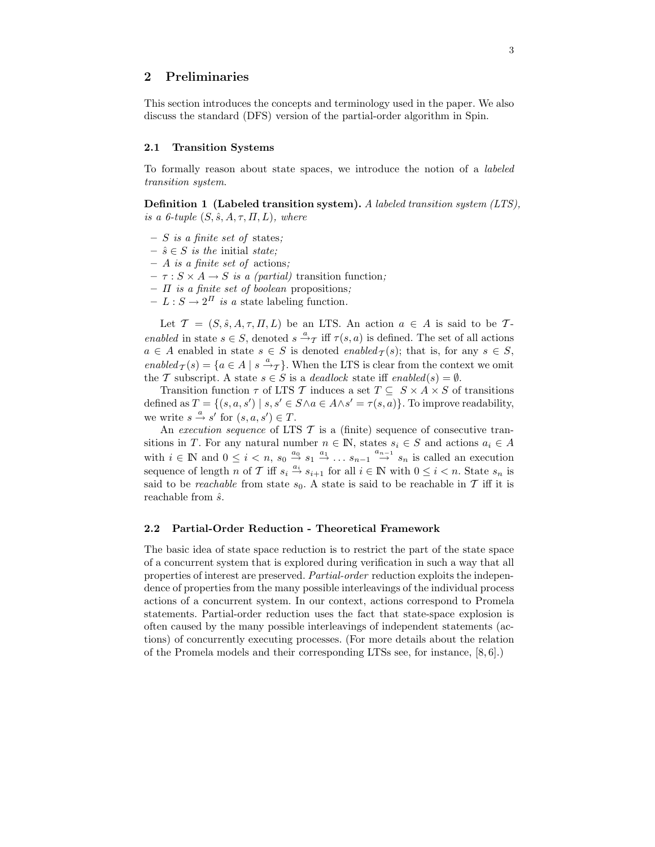# **2 Preliminaries**

This section introduces the concepts and terminology used in the paper. We also discuss the standard (DFS) version of the partial-order algorithm in Spin.

#### **2.1 Transition Systems**

To formally reason about state spaces, we introduce the notion of a *labeled transition system*.

**Definition 1 (Labeled transition system).** *A labeled transition system (LTS), is a 6-tuple*  $(S, \hat{s}, A, \tau, \Pi, L)$ *, where* 

- **–** S *is a finite set of* states*;*
- $\hat{s} \in S$  *is the initial state;*
- **–** A *is a finite set of* actions*;*
- $\tau : S \times A \rightarrow S$  *is a (partial)* transition function;
- **–** Π *is a finite set of boolean* propositions*;*
- $-L : S \to 2^{\Pi}$  *is a* state labeling function.

Let  $\mathcal{T} = (S, \hat{s}, A, \tau, \Pi, L)$  be an LTS. An action  $a \in A$  is said to be  $\mathcal{T}$ *enabled* in state  $s \in S$ , denoted  $s \stackrel{a}{\rightarrow} \tau$  iff  $\tau(s, a)$  is defined. The set of all actions  $a \in A$  enabled in state  $s \in S$  is denoted *enabled*  $\tau(s)$ ; that is, for any  $s \in S$ , *enabled*  $\tau(s) = \{a \in A \mid s \stackrel{a}{\rightarrow} \tau\}$ . When the LTS is clear from the context we omit the T subscript. A state  $s \in S$  is a *deadlock* state iff  $enabeled(s) = \emptyset$ .

Transition function  $\tau$  of LTS T induces a set  $T \subseteq S \times A \times S$  of transitions defined as  $T = \{(s, a, s') \mid s, s' \in S \land a \in A \land s' = \tau(s, a)\}.$  To improve readability, we write  $s \stackrel{a}{\rightarrow} s'$  for  $(s, a, s') \in T$ .

An *execution sequence* of LTS T is a (finite) sequence of consecutive transitions in T. For any natural number  $n \in \mathbb{N}$ , states  $s_i \in S$  and actions  $a_i \in A$ with  $i \in \mathbb{N}$  and  $0 \leq i < n$ ,  $s_0 \stackrel{a_0}{\rightarrow} s_1 \stackrel{a_1}{\rightarrow} \ldots s_{n-1} \stackrel{a_{n-1}}{\rightarrow} s_n$  is called an execution sequence of length n of T iff  $s_i \stackrel{a_i}{\rightarrow} s_{i+1}$  for all  $i \in \mathbb{N}$  with  $0 \leq i < n$ . State  $s_n$  is said to be *reachable* from state  $s_0$ . A state is said to be reachable in T iff it is reachable from  $\hat{s}$ .

#### **2.2 Partial-Order Reduction - Theoretical Framework**

The basic idea of state space reduction is to restrict the part of the state space of a concurrent system that is explored during verification in such a way that all properties of interest are preserved. *Partial-order* reduction exploits the independence of properties from the many possible interleavings of the individual process actions of a concurrent system. In our context, actions correspond to Promela statements. Partial-order reduction uses the fact that state-space explosion is often caused by the many possible interleavings of independent statements (actions) of concurrently executing processes. (For more details about the relation of the Promela models and their corresponding LTSs see, for instance, [8, 6].)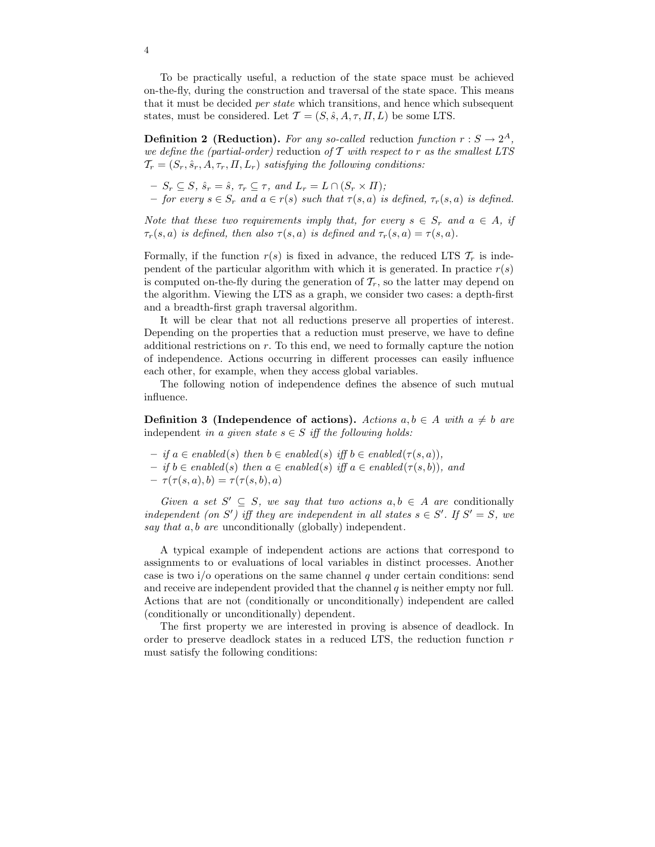To be practically useful, a reduction of the state space must be achieved on-the-fly, during the construction and traversal of the state space. This means that it must be decided *per state* which transitions, and hence which subsequent states, must be considered. Let  $\mathcal{T} = (S, \hat{s}, A, \tau, \Pi, L)$  be some LTS.

**Definition 2 (Reduction).** For any so-called reduction function  $r : S \to 2^A$ , *we define the (partial-order)* reduction *of* T *with respect to* r *as the smallest LTS*  $\mathcal{T}_r = (S_r, \hat{s}_r, A, \tau_r, \Pi, L_r)$  *satisfying the following conditions:* 

- $S_r \subseteq S$ *,*  $\hat{s}_r = \hat{s}$ *,*  $\tau_r \subseteq \tau$ *, and*  $L_r = L \cap (S_r \times \Pi)$ *;*
- $-$  *for every*  $s \in S_r$  *and*  $a \in r(s)$  *such that*  $\tau(s, a)$  *is defined,*  $\tau_r(s, a)$  *is defined.*

*Note that these two requirements imply that, for every*  $s \in S_r$  *and*  $a \in A$ *, if*  $\tau_r(s, a)$  *is defined, then also*  $\tau(s, a)$  *is defined and*  $\tau_r(s, a) = \tau(s, a)$ *.* 

Formally, if the function  $r(s)$  is fixed in advance, the reduced LTS  $T_r$  is independent of the particular algorithm with which it is generated. In practice  $r(s)$ is computed on-the-fly during the generation of  $\mathcal{T}_r$ , so the latter may depend on the algorithm. Viewing the LTS as a graph, we consider two cases: a depth-first and a breadth-first graph traversal algorithm.

It will be clear that not all reductions preserve all properties of interest. Depending on the properties that a reduction must preserve, we have to define additional restrictions on  $r$ . To this end, we need to formally capture the notion of independence. Actions occurring in different processes can easily influence each other, for example, when they access global variables.

The following notion of independence defines the absence of such mutual influence.

**Definition 3 (Independence of actions).** *Actions*  $a, b \in A$  *with*  $a \neq b$  *are* independent *in a given state*  $s \in S$  *iff the following holds:* 

- **–** *if* a ∈ *enabled*(s) *then* b ∈ *enabled*(s) *iff* b ∈ *enabled*(τ(s, a))*,*
- $−$  *if*  $b ∈ enable d(s)$  *then*  $a ∈ enable d(s)$  *iff*  $a ∈ enable d(τ(s, b))$ *, and*
- $\tau(\tau(s,a),b) = \tau(\tau(s,b),a)$

*Given a set*  $S' \subseteq S$ *, we say that two actions*  $a, b \in A$  *are* conditionally *independent (on S')* iff they are independent in all states  $s \in S'$ . If  $S' = S$ , we *say that* a, b *are* unconditionally (globally) independent*.*

A typical example of independent actions are actions that correspond to assignments to or evaluations of local variables in distinct processes. Another case is two  $i$  o operations on the same channel q under certain conditions: send and receive are independent provided that the channel  $q$  is neither empty nor full. Actions that are not (conditionally or unconditionally) independent are called (conditionally or unconditionally) dependent.

The first property we are interested in proving is absence of deadlock. In order to preserve deadlock states in a reduced LTS, the reduction function r must satisfy the following conditions: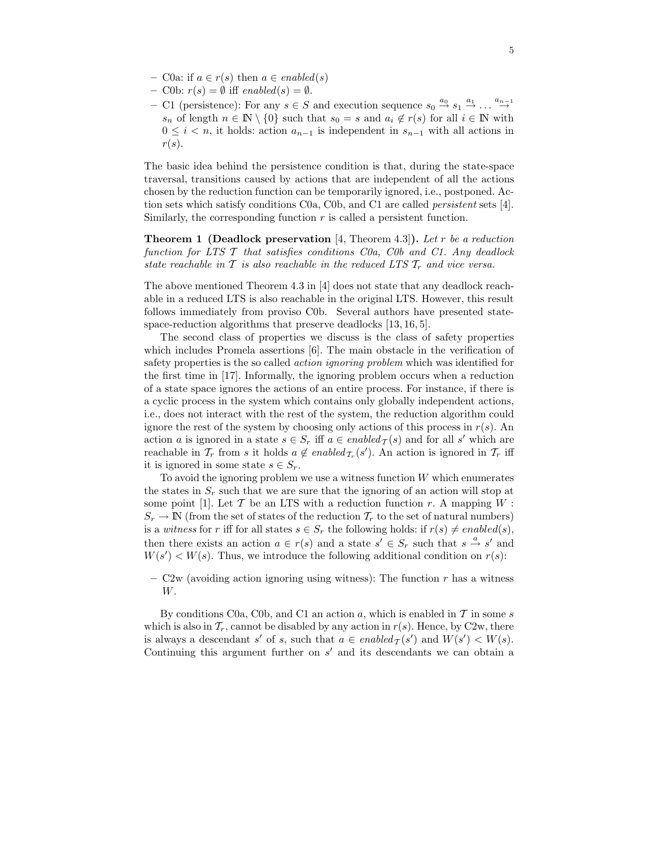- **–** C0a: if a ∈ r(s) then a ∈ *enabled*(*s*)
- $-$  C0b:  $r(s) = \emptyset$  iff *enabled* $(s) = \emptyset$ .
- **−** C1 (persistence): For any  $s \in S$  and execution sequence  $s_0 \stackrel{a_0}{\rightarrow} s_1 \stackrel{a_1}{\rightarrow} \dots \stackrel{a_{n-1}}{\rightarrow}$  $s_n$  of length  $n \in \mathbb{N} \setminus \{0\}$  such that  $s_0 = s$  and  $a_i \notin r(s)$  for all  $i \in \mathbb{N}$  with  $0 \leq i \leq n$ , it holds: action  $a_{n-1}$  is independent in  $s_{n-1}$  with all actions in  $r(s)$ .

The basic idea behind the persistence condition is that, during the state-space traversal, transitions caused by actions that are independent of all the actions chosen by the reduction function can be temporarily ignored, i.e., postponed. Action sets which satisfy conditions C0a, C0b, and C1 are called *persistent* sets [4]. Similarly, the corresponding function  $r$  is called a persistent function.

**Theorem 1 (Deadlock preservation** [4, Theorem 4.3]**).** *Let* r *be a reduction function for LTS* T *that satisfies conditions C0a, C0b and C1. Any deadlock state reachable in*  $T$  *is also reachable in the reduced LTS*  $T_r$  *and vice versa.* 

The above mentioned Theorem 4.3 in [4] does not state that any deadlock reachable in a reduced LTS is also reachable in the original LTS. However, this result follows immediately from proviso C0b. Several authors have presented statespace-reduction algorithms that preserve deadlocks [13, 16, 5].

The second class of properties we discuss is the class of safety properties which includes Promela assertions [6]. The main obstacle in the verification of safety properties is the so called *action ignoring problem* which was identified for the first time in [17]. Informally, the ignoring problem occurs when a reduction of a state space ignores the actions of an entire process. For instance, if there is a cyclic process in the system which contains only globally independent actions, i.e., does not interact with the rest of the system, the reduction algorithm could ignore the rest of the system by choosing only actions of this process in  $r(s)$ . An action a is ignored in a state  $s \in S_r$  iff  $a \in enabled_\mathcal{T}(s)$  and for all s' which are reachable in  $\mathcal{T}_r$  from s it holds  $a \notin enabled_{\mathcal{T}_r}(s')$ . An action is ignored in  $\mathcal{T}_r$  iff it is ignored in some state  $s \in S_r$ .

To avoid the ignoring problem we use a witness function  $W$  which enumerates the states in  $S_r$  such that we are sure that the ignoring of an action will stop at some point [1]. Let T be an LTS with a reduction function r. A mapping  $W$ :  $S_r \to \mathbb{N}$  (from the set of states of the reduction  $\mathcal{T}_r$  to the set of natural numbers) is a *witness* for r iff for all states  $s \in S_r$  the following holds: if  $r(s) \neq enabled(s)$ , then there exists an action  $a \in r(s)$  and a state  $s' \in S_r$  such that  $s \stackrel{a}{\rightarrow} s'$  and  $W(s') < W(s)$ . Thus, we introduce the following additional condition on  $r(s)$ :

**–** C2w (avoiding action ignoring using witness): The function r has a witness W.

By conditions C0a, C0b, and C1 an action a, which is enabled in  $\mathcal T$  in some s which is also in  $\mathcal{T}_r$ , cannot be disabled by any action in  $r(s)$ . Hence, by C2w, there is always a descendant s' of s, such that  $a \in enabled_{\mathcal{T}}(s')$  and  $W(s') < W(s)$ . Continuing this argument further on  $s'$  and its descendants we can obtain a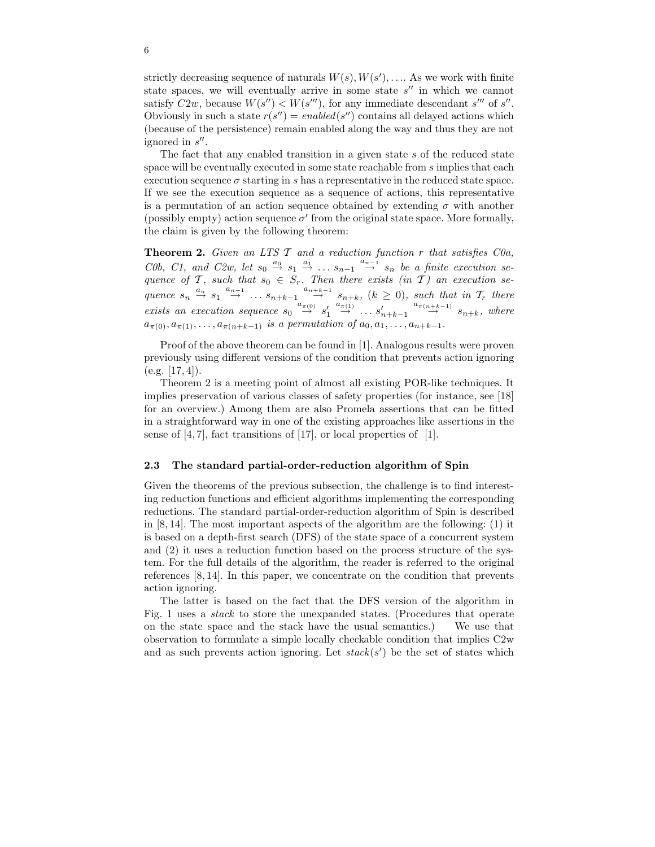strictly decreasing sequence of naturals  $W(s)$ ,  $W(s')$ ,.... As we work with finite state spaces, we will eventually arrive in some state  $s''$  in which we cannot satisfy  $C2w$ , because  $W(s'') < W(s''')$ , for any immediate descendant s''' of s''. Obviously in such a state  $r(s'') = enabled(s'')$  contains all delayed actions which (because of the persistence) remain enabled along the way and thus they are not ignored in  $s''$ .

The fact that any enabled transition in a given state s of the reduced state space will be eventually executed in some state reachable from s implies that each execution sequence  $\sigma$  starting in s has a representative in the reduced state space. If we see the execution sequence as a sequence of actions, this representative is a permutation of an action sequence obtained by extending  $\sigma$  with another (possibly empty) action sequence  $\sigma'$  from the original state space. More formally, the claim is given by the following theorem:

**Theorem 2.** *Given an LTS* T *and a reduction function* r *that satisfies C0a, C0b, C1, and C2w, let*  $s_0 \stackrel{a_0}{\rightarrow} s_1 \stackrel{a_1}{\rightarrow} \ldots s_{n-1} \stackrel{a_{n-1}}{\rightarrow} s_n$  *be a finite execution sequence of*  $\mathcal{T}$ *, such that*  $s_0 \in S_r$ *. Then there exists (in*  $\mathcal{T}$ *) an execution se*quence  $s_n \stackrel{a_n}{\rightarrow} s_1 \stackrel{a_{n+1}}{\rightarrow} \ldots s_{n+k-1} \stackrel{a_{n+k-1}}{\rightarrow} s_{n+k}$ ,  $(k \geq 0)$ *, such that in*  $\mathcal{T}_r$  *there*  $exists an execution sequence s_0 \stackrel{a_{\pi(0)}}{\rightarrow} s'_1$  $\stackrel{a_{\pi(1)}}{\rightarrow}$  ...  $s'_{n+k-1}$ aπ(n+k*−*1) → sn+k*, where*  $a_{\pi(0)}, a_{\pi(1)}, \ldots, a_{\pi(n+k-1)}$  *is a permutation of*  $a_0, a_1, \ldots, a_{n+k-1}$ 

Proof of the above theorem can be found in [1]. Analogous results were proven previously using different versions of the condition that prevents action ignoring  $(e.g. [17, 4]).$ 

Theorem 2 is a meeting point of almost all existing POR-like techniques. It implies preservation of various classes of safety properties (for instance, see [18] for an overview.) Among them are also Promela assertions that can be fitted in a straightforward way in one of the existing approaches like assertions in the sense of  $[4, 7]$ , fact transitions of  $[17]$ , or local properties of  $[1]$ .

#### **2.3 The standard partial-order-reduction algorithm of Spin**

Given the theorems of the previous subsection, the challenge is to find interesting reduction functions and efficient algorithms implementing the corresponding reductions. The standard partial-order-reduction algorithm of Spin is described in  $[8, 14]$ . The most important aspects of the algorithm are the following: (1) it is based on a depth-first search (DFS) of the state space of a concurrent system and (2) it uses a reduction function based on the process structure of the system. For the full details of the algorithm, the reader is referred to the original references [8, 14]. In this paper, we concentrate on the condition that prevents action ignoring.

The latter is based on the fact that the DFS version of the algorithm in Fig. 1 uses a *stack* to store the unexpanded states. (Procedures that operate on the state space and the stack have the usual semantics.) We use that observation to formulate a simple locally checkable condition that implies C2w and as such prevents action ignoring. Let  $stack(s')$  be the set of states which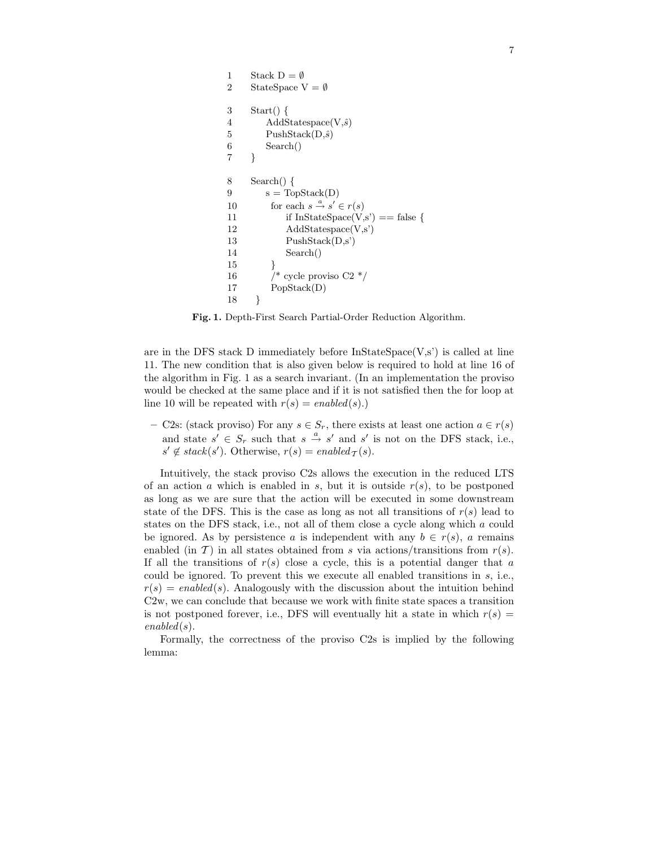```
1 Stack D = \emptyset2 StateSpace V = \emptyset3 Start() {
4 AddStatespace(V,\hat{s})
5 PushStack(D,\hat{s})
6 Search()
7 }
8 Search() {
9 s = TopStack(D)10 for each s \stackrel{a}{\rightarrow} s' \in r(s)11 if InStateSpace(V,s') == false {
12 AddStatespace(V,s')
13 PushStack(D,s')
14 Search()
15 }
16 \gamma cycle proviso C2 ^*/17 PopStack(D)
18 }
```
**Fig. 1.** Depth-First Search Partial-Order Reduction Algorithm.

are in the DFS stack D immediately before  $InStateSpace(V, s')$  is called at line 11. The new condition that is also given below is required to hold at line 16 of the algorithm in Fig. 1 as a search invariant. (In an implementation the proviso would be checked at the same place and if it is not satisfied then the for loop at line 10 will be repeated with  $r(s) = enabled(s)$ .)

**−** C2s: (stack proviso) For any  $s \in S_r$ , there exists at least one action  $a \in r(s)$ and state  $s' \in S_r$  such that  $s \stackrel{a}{\rightarrow} s'$  and  $s'$  is not on the DFS stack, i.e.,  $s' \notin stack(s')$ . Otherwise,  $r(s) = enabled_{\mathcal{T}}(s)$ .

Intuitively, the stack proviso C2s allows the execution in the reduced LTS of an action a which is enabled in s, but it is outside  $r(s)$ , to be postponed as long as we are sure that the action will be executed in some downstream state of the DFS. This is the case as long as not all transitions of  $r(s)$  lead to states on the DFS stack, i.e., not all of them close a cycle along which a could be ignored. As by persistence a is independent with any  $b \in r(s)$ , a remains enabled (in T) in all states obtained from s via actions/transitions from  $r(s)$ . If all the transitions of  $r(s)$  close a cycle, this is a potential danger that a could be ignored. To prevent this we execute all enabled transitions in  $s$ , i.e.,  $r(s) = enabled(s)$ . Analogously with the discussion about the intuition behind C2w, we can conclude that because we work with finite state spaces a transition is not postponed forever, i.e., DFS will eventually hit a state in which  $r(s)$  = *enabled*(s).

Formally, the correctness of the proviso C2s is implied by the following lemma: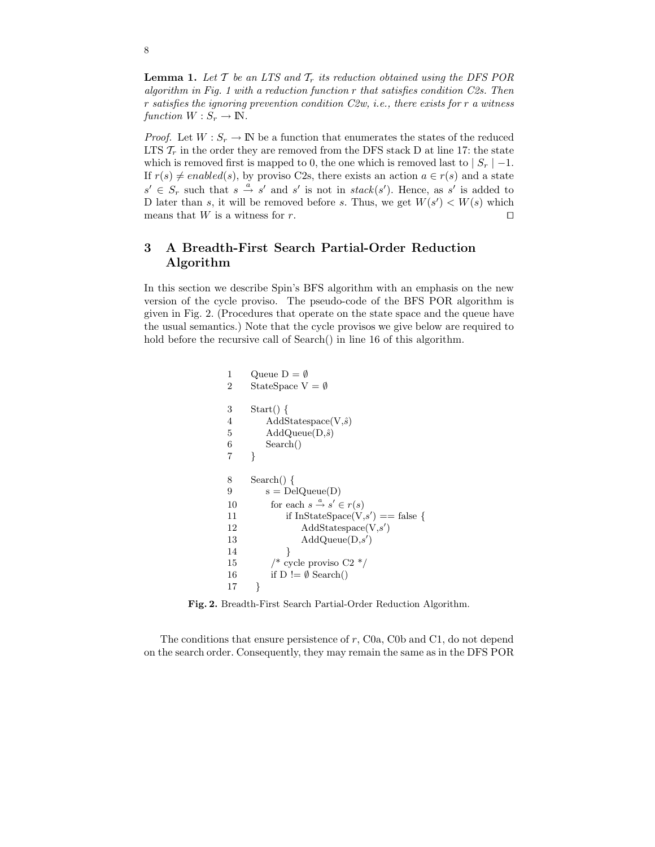**Lemma 1.** Let  $T$  be an LTS and  $T_r$  its reduction obtained using the DFS POR *algorithm in Fig. 1 with a reduction function* r *that satisfies condition C2s. Then* r *satisfies the ignoring prevention condition C2w, i.e., there exists for* r *a witness function*  $W: S_r \to \mathbb{N}$ .

*Proof.* Let  $W: S_r \to \mathbb{N}$  be a function that enumerates the states of the reduced LTS  $\mathcal{T}_r$  in the order they are removed from the DFS stack D at line 17: the state which is removed first is mapped to 0, the one which is removed last to  $|S_r|$  -1. If  $r(s) \neq enabled(s)$ , by proviso C2s, there exists an action  $a \in r(s)$  and a state  $s' \in S_r$  such that  $s \stackrel{a}{\rightarrow} s'$  and  $s'$  is not in  $stack(s')$ . Hence, as s' is added to D later than s, it will be removed before s. Thus, we get  $W(s') < W(s)$  which means that W is a witness for r.

# **3 A Breadth-First Search Partial-Order Reduction Algorithm**

In this section we describe Spin's BFS algorithm with an emphasis on the new version of the cycle proviso. The pseudo-code of the BFS POR algorithm is given in Fig. 2. (Procedures that operate on the state space and the queue have the usual semantics.) Note that the cycle provisos we give below are required to hold before the recursive call of Search() in line 16 of this algorithm.

```
1 Queue D = \emptyset2 StateSpace V = \emptyset3 Start() {
4 AddStatespace(V,\hat{s})
5 AddQueue(D,\hat{s})
6 Search()
7 }
8 Search() {
9 s = DelQueue(D)10 for each s \stackrel{a}{\rightarrow} s' \in r(s)11 if InStateSpace(V, s') == false {
12 AddStatespace(V,s
)
13 AddQueue(D,s
)
14 }
15 /* cycle proviso C2 */16 if D := \emptyset Search()
17 }
```
**Fig. 2.** Breadth-First Search Partial-Order Reduction Algorithm.

The conditions that ensure persistence of  $r$ , C0a, C0b and C1, do not depend on the search order. Consequently, they may remain the same as in the DFS POR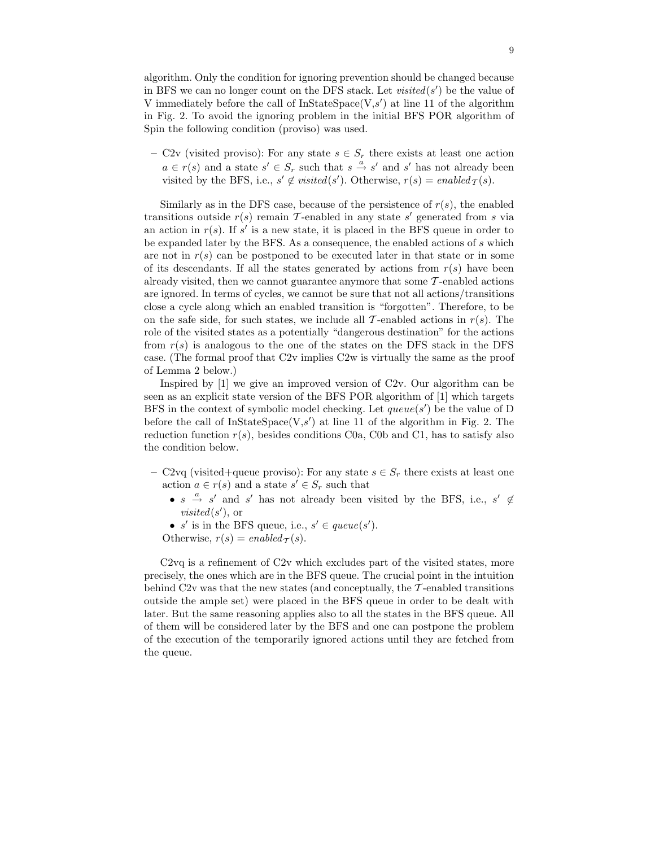algorithm. Only the condition for ignoring prevention should be changed because in BFS we can no longer count on the DFS stack. Let  $visited(s')$  be the value of V immediately before the call of InStateSpace(V,s') at line 11 of the algorithm in Fig. 2. To avoid the ignoring problem in the initial BFS POR algorithm of Spin the following condition (proviso) was used.

**–** C2v (visited proviso): For any state s ∈ S<sup>r</sup> there exists at least one action  $a \in r(s)$  and a state  $s' \in S_r$  such that  $s \stackrel{a}{\rightarrow} s'$  and  $s'$  has not already been visited by the BFS, i.e.,  $s' \notin visited(s')$ . Otherwise,  $r(s) = enabled_{\mathcal{T}}(s)$ .

Similarly as in the DFS case, because of the persistence of  $r(s)$ , the enabled transitions outside  $r(s)$  remain T-enabled in any state s' generated from s via an action in  $r(s)$ . If s' is a new state, it is placed in the BFS queue in order to be expanded later by the BFS. As a consequence, the enabled actions of s which are not in  $r(s)$  can be postponed to be executed later in that state or in some of its descendants. If all the states generated by actions from  $r(s)$  have been already visited, then we cannot guarantee anymore that some  $\mathcal{T}$ -enabled actions are ignored. In terms of cycles, we cannot be sure that not all actions/transitions close a cycle along which an enabled transition is "forgotten". Therefore, to be on the safe side, for such states, we include all T-enabled actions in  $r(s)$ . The role of the visited states as a potentially "dangerous destination" for the actions from  $r(s)$  is analogous to the one of the states on the DFS stack in the DFS case. (The formal proof that C2v implies C2w is virtually the same as the proof of Lemma 2 below.)

Inspired by [1] we give an improved version of C2v. Our algorithm can be seen as an explicit state version of the BFS POR algorithm of [1] which targets BFS in the context of symbolic model checking. Let  $queue(s')$  be the value of D before the call of  $InStateSpace(V, s')$  at line 11 of the algorithm in Fig. 2. The reduction function  $r(s)$ , besides conditions C0a, C0b and C1, has to satisfy also the condition below.

- **–** C2vq (visited+queue proviso): For any state s ∈ S<sup>r</sup> there exists at least one action  $a \in r(s)$  and a state  $s' \in S_r$  such that
	- $s \stackrel{a}{\rightarrow} s'$  and s' has not already been visited by the BFS, i.e., s'  $\notin$  $visited(s')$ , or
	- $s'$  is in the BFS queue, i.e.,  $s' \in queue(s')$ .

Otherwise,  $r(s) = enabled_{\mathcal{T}}(s)$ .

C2vq is a refinement of C2v which excludes part of the visited states, more precisely, the ones which are in the BFS queue. The crucial point in the intuition behind  $C2v$  was that the new states (and conceptually, the  $\mathcal T$ -enabled transitions outside the ample set) were placed in the BFS queue in order to be dealt with later. But the same reasoning applies also to all the states in the BFS queue. All of them will be considered later by the BFS and one can postpone the problem of the execution of the temporarily ignored actions until they are fetched from the queue.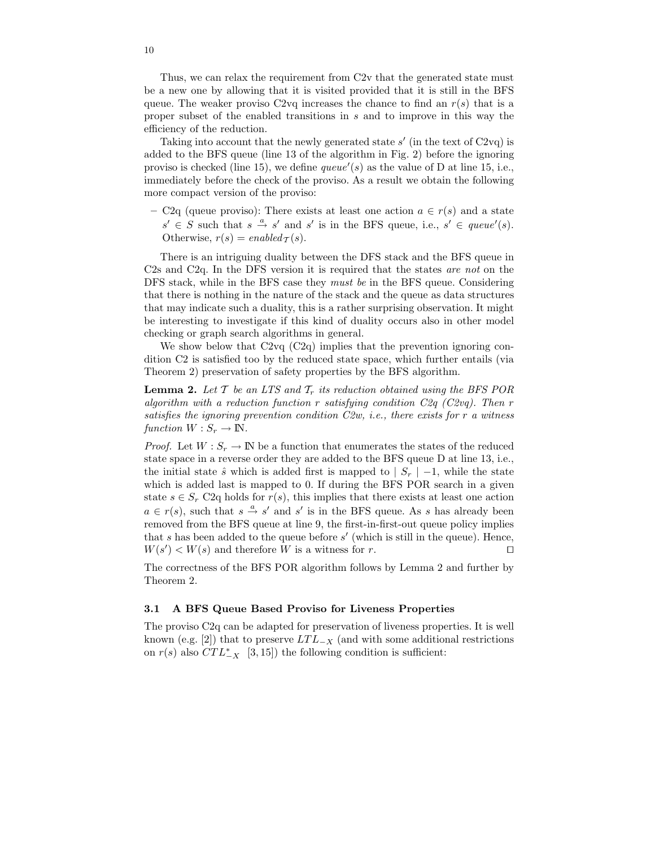Thus, we can relax the requirement from C2v that the generated state must be a new one by allowing that it is visited provided that it is still in the BFS queue. The weaker proviso C2vq increases the chance to find an  $r(s)$  that is a proper subset of the enabled transitions in s and to improve in this way the efficiency of the reduction.

Taking into account that the newly generated state  $s'$  (in the text of C2vq) is added to the BFS queue (line 13 of the algorithm in Fig. 2) before the ignoring proviso is checked (line 15), we define  $queue'(s)$  as the value of D at line 15, i.e., immediately before the check of the proviso. As a result we obtain the following more compact version of the proviso:

**–** C2q (queue proviso): There exists at least one action a ∈ r(s) and a state  $s' \in S$  such that  $s \stackrel{a}{\rightarrow} s'$  and  $s'$  is in the BFS queue, i.e.,  $s' \in queue'(s)$ . Otherwise,  $r(s) = enabled \tau(s)$ .

There is an intriguing duality between the DFS stack and the BFS queue in C2s and C2q. In the DFS version it is required that the states *are not* on the DFS stack, while in the BFS case they *must be* in the BFS queue. Considering that there is nothing in the nature of the stack and the queue as data structures that may indicate such a duality, this is a rather surprising observation. It might be interesting to investigate if this kind of duality occurs also in other model checking or graph search algorithms in general.

We show below that C2vq (C2q) implies that the prevention ignoring condition C2 is satisfied too by the reduced state space, which further entails (via Theorem 2) preservation of safety properties by the BFS algorithm.

**Lemma 2.** Let  $T$  be an LTS and  $T_r$  its reduction obtained using the BFS POR *algorithm with a reduction function* r *satisfying condition C2q (C2vq). Then* r *satisfies the ignoring prevention condition C2w, i.e., there exists for* r *a witness function*  $W: S_r \to \mathbb{N}$ .

*Proof.* Let  $W : S_r \to \mathbb{N}$  be a function that enumerates the states of the reduced state space in a reverse order they are added to the BFS queue D at line 13, i.e., the initial state  $\hat{s}$  which is added first is mapped to  $|S_r| - 1$ , while the state which is added last is mapped to 0. If during the BFS POR search in a given state  $s \in S_r$  C2q holds for  $r(s)$ , this implies that there exists at least one action  $a \in r(s)$ , such that  $s \stackrel{a}{\rightarrow} s'$  and  $s'$  is in the BFS queue. As s has already been removed from the BFS queue at line 9, the first-in-first-out queue policy implies that s has been added to the queue before  $s'$  (which is still in the queue). Hence,  $W(s') < W(s)$  and therefore W is a witness for r.

The correctness of the BFS POR algorithm follows by Lemma 2 and further by Theorem 2.

#### **3.1 A BFS Queue Based Proviso for Liveness Properties**

The proviso C2q can be adapted for preservation of liveness properties. It is well known (e.g. [2]) that to preserve  $LTL_{-X}$  (and with some additional restrictions on  $r(s)$  also  $CTL_{-X}^*$  [3, 15]) the following condition is sufficient: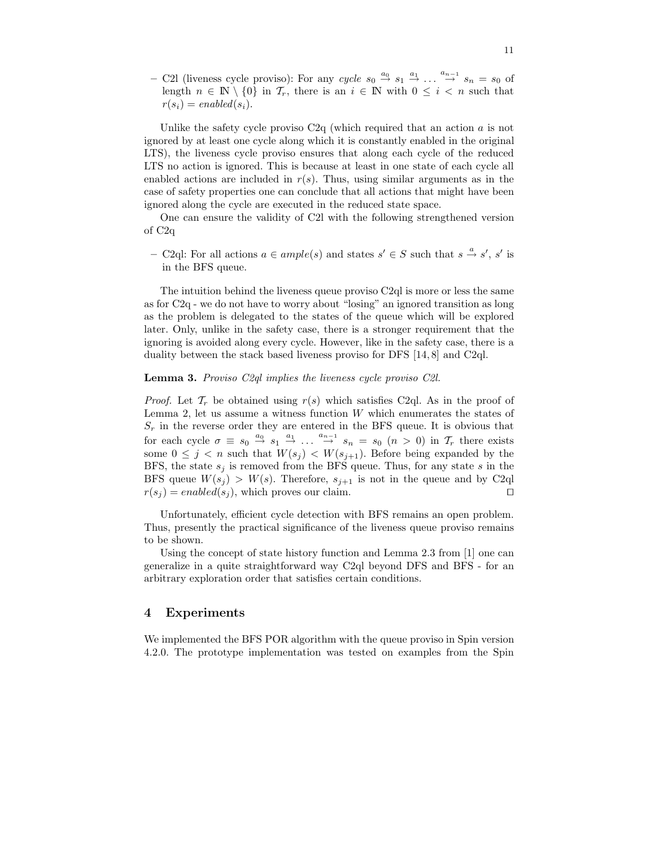**−** C2l (liveness cycle proviso): For any *cycle*  $s_0 \stackrel{a_0}{\rightarrow} s_1 \stackrel{a_1}{\rightarrow} \dots \stackrel{a_{n-1}}{\rightarrow} s_n = s_0$  of length  $n \in \mathbb{N} \setminus \{0\}$  in  $\mathcal{T}_r$ , there is an  $i \in \mathbb{N}$  with  $0 \leq i < n$  such that  $r(s_i) = enabled(s_i).$ 

Unlike the safety cycle proviso  $C2q$  (which required that an action  $a$  is not ignored by at least one cycle along which it is constantly enabled in the original LTS), the liveness cycle proviso ensures that along each cycle of the reduced LTS no action is ignored. This is because at least in one state of each cycle all enabled actions are included in  $r(s)$ . Thus, using similar arguments as in the case of safety properties one can conclude that all actions that might have been ignored along the cycle are executed in the reduced state space.

One can ensure the validity of C2l with the following strengthened version of C2q

**−** C2ql: For all actions  $a \in ample(s)$  and states  $s' \in S$  such that  $s \stackrel{a}{\rightarrow} s'$ ,  $s'$  is in the BFS queue.

The intuition behind the liveness queue proviso C2ql is more or less the same as for C2q - we do not have to worry about "losing" an ignored transition as long as the problem is delegated to the states of the queue which will be explored later. Only, unlike in the safety case, there is a stronger requirement that the ignoring is avoided along every cycle. However, like in the safety case, there is a duality between the stack based liveness proviso for DFS  $[14, 8]$  and C2ql.

#### **Lemma 3.** *Proviso C2ql implies the liveness cycle proviso C2l.*

*Proof.* Let  $\mathcal{T}_r$  be obtained using  $r(s)$  which satisfies C2ql. As in the proof of Lemma 2, let us assume a witness function  $W$  which enumerates the states of  $S_r$  in the reverse order they are entered in the BFS queue. It is obvious that for each cycle  $\sigma \equiv s_0 \stackrel{a_0}{\rightarrow} s_1 \stackrel{a_1}{\rightarrow} \ldots \stackrel{a_{n-1}}{\rightarrow} s_n = s_0 \ (n > 0)$  in  $\mathcal{T}_r$  there exists some  $0 \leq j < n$  such that  $W(s_j) < W(s_{j+1})$ . Before being expanded by the BFS, the state  $s_i$  is removed from the BFS queue. Thus, for any state s in the BFS queue  $W(s_j) > W(s)$ . Therefore,  $s_{j+1}$  is not in the queue and by C2ql  $r(s_i) = enabled(s_i)$ , which proves our claim.

Unfortunately, efficient cycle detection with BFS remains an open problem. Thus, presently the practical significance of the liveness queue proviso remains to be shown.

Using the concept of state history function and Lemma 2.3 from [1] one can generalize in a quite straightforward way C2ql beyond DFS and BFS - for an arbitrary exploration order that satisfies certain conditions.

# **4 Experiments**

We implemented the BFS POR algorithm with the queue proviso in Spin version 4.2.0. The prototype implementation was tested on examples from the Spin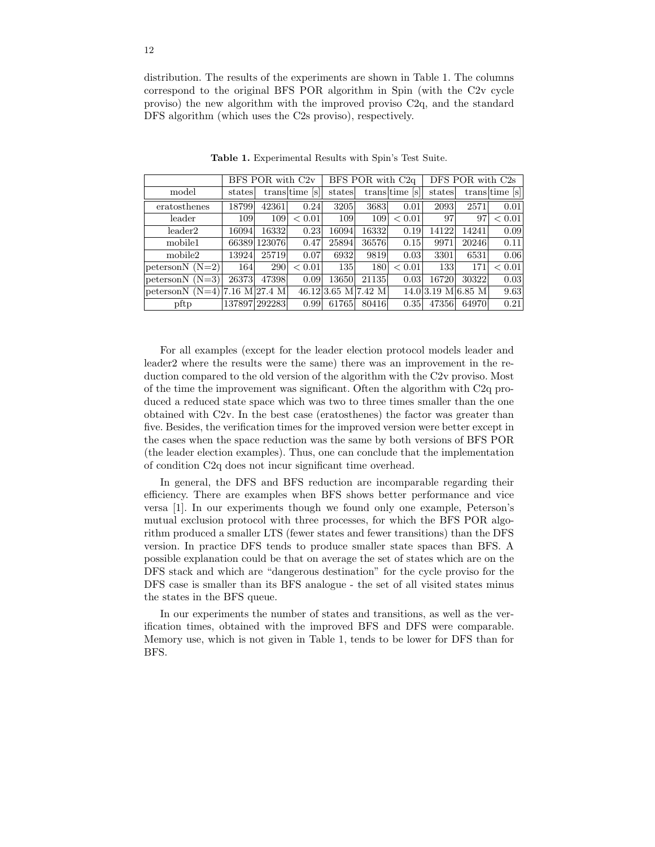distribution. The results of the experiments are shown in Table 1. The columns correspond to the original BFS POR algorithm in Spin (with the C2v cycle proviso) the new algorithm with the improved proviso C2q, and the standard DFS algorithm (which uses the C2s proviso), respectively.

|                   | BFS POR with C <sub>2v</sub> |                         |                | BFS POR with C <sub>2q</sub> |                     |        | DFS POR with C2s                   |       |                |
|-------------------|------------------------------|-------------------------|----------------|------------------------------|---------------------|--------|------------------------------------|-------|----------------|
| model             | states                       |                         | transitime [s] | states                       | trans time          | S      | states                             |       | transitime [s] |
| eratosthenes      | 18799                        | 42361                   | 0.24           | 3205                         | 3683                | 0.01   | 2093                               | 2571  | 0.01           |
| leader            | 109                          | 109                     | 0.01<br>$\lt$  | 109                          | 109                 | < 0.01 | 97                                 | 97    | < 0.01         |
| leader2           | 16094                        | 16332                   | 0.23           | 16094                        | 16332               | 0.19   | 14122                              | 14241 | 0.09           |
| mobile1           |                              | 66389 123076            | 0.47           | 25894                        | 36576               | 0.15   | 9971                               | 20246 | 0.11           |
| mobile2           | 13924                        | 25719                   | 0.07           | 6932                         | 9819                | 0.03   | 3301                               | 6531  | 0.06           |
| peterson $N(N=2)$ | 164                          | 290                     | 0.01<br>✓      | 135                          | 180                 | < 0.01 | 133                                | 171   | < 0.01         |
| peterson $N(N=3)$ | 26373                        | 47398                   | 0.09           | 13650                        | 21135               | 0.03   | 16720                              | 30322 | 0.03           |
| peterson $N(N=4)$ |                              | $7.16 \text{ M}$ 27.4 M |                |                              | 46.12 3.65 M 7.42 M |        | $14.0 3.19\text{ M} 6.85\text{ M}$ |       | 9.63           |
| pftp              |                              | 137897 292283           | 0.99           | 61765                        | 80416               | 0.35   | 47356                              | 64970 | 0.21           |

**Table 1.** Experimental Results with Spin's Test Suite.

For all examples (except for the leader election protocol models leader and leader2 where the results were the same) there was an improvement in the reduction compared to the old version of the algorithm with the C2v proviso. Most of the time the improvement was significant. Often the algorithm with C2q produced a reduced state space which was two to three times smaller than the one obtained with C2v. In the best case (eratosthenes) the factor was greater than five. Besides, the verification times for the improved version were better except in the cases when the space reduction was the same by both versions of BFS POR (the leader election examples). Thus, one can conclude that the implementation of condition C2q does not incur significant time overhead.

In general, the DFS and BFS reduction are incomparable regarding their efficiency. There are examples when BFS shows better performance and vice versa [1]. In our experiments though we found only one example, Peterson's mutual exclusion protocol with three processes, for which the BFS POR algorithm produced a smaller LTS (fewer states and fewer transitions) than the DFS version. In practice DFS tends to produce smaller state spaces than BFS. A possible explanation could be that on average the set of states which are on the DFS stack and which are "dangerous destination" for the cycle proviso for the DFS case is smaller than its BFS analogue - the set of all visited states minus the states in the BFS queue.

In our experiments the number of states and transitions, as well as the verification times, obtained with the improved BFS and DFS were comparable. Memory use, which is not given in Table 1, tends to be lower for DFS than for BFS.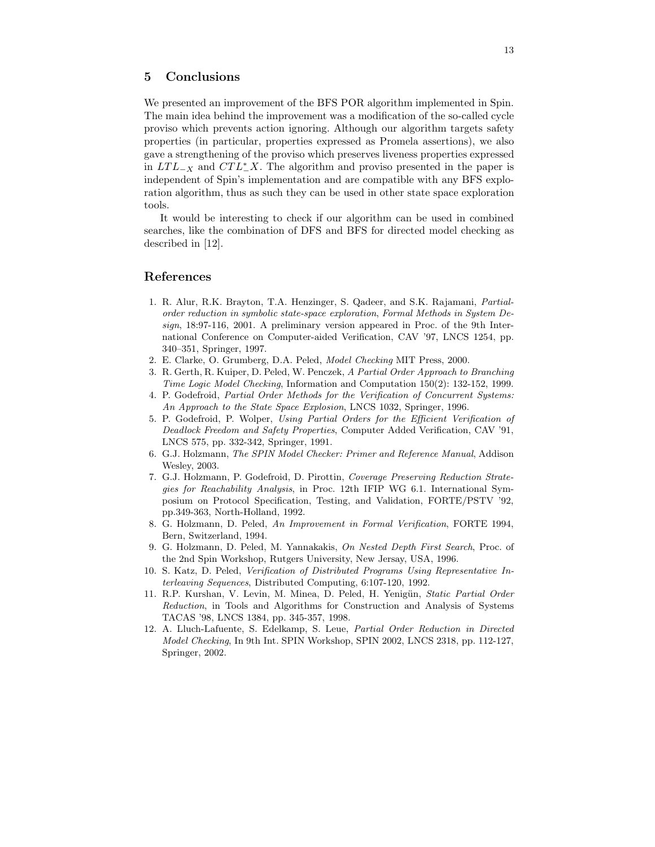# **5 Conclusions**

We presented an improvement of the BFS POR algorithm implemented in Spin. The main idea behind the improvement was a modification of the so-called cycle proviso which prevents action ignoring. Although our algorithm targets safety properties (in particular, properties expressed as Promela assertions), we also gave a strengthening of the proviso which preserves liveness properties expressed in  $LTL_{-X}$  and  $CTL_{-X}^{*}$ . The algorithm and proviso presented in the paper is independent of Spin's implementation and are compatible with any BFS exploration algorithm, thus as such they can be used in other state space exploration tools.

It would be interesting to check if our algorithm can be used in combined searches, like the combination of DFS and BFS for directed model checking as described in [12].

### **References**

- 1. R. Alur, R.K. Brayton, T.A. Henzinger, S. Qadeer, and S.K. Rajamani, Partialorder reduction in symbolic state-space exploration, Formal Methods in System Design, 18:97-116, 2001. A preliminary version appeared in Proc. of the 9th International Conference on Computer-aided Verification, CAV '97, LNCS 1254, pp. 340–351, Springer, 1997.
- 2. E. Clarke, O. Grumberg, D.A. Peled, Model Checking MIT Press, 2000.
- 3. R. Gerth, R. Kuiper, D. Peled, W. Penczek, A Partial Order Approach to Branching Time Logic Model Checking, Information and Computation 150(2): 132-152, 1999.
- 4. P. Godefroid, Partial Order Methods for the Verification of Concurrent Systems: An Approach to the State Space Explosion, LNCS 1032, Springer, 1996.
- 5. P. Godefroid, P. Wolper, Using Partial Orders for the Efficient Verification of Deadlock Freedom and Safety Properties, Computer Added Verification, CAV '91, LNCS 575, pp. 332-342, Springer, 1991.
- 6. G.J. Holzmann, The SPIN Model Checker: Primer and Reference Manual, Addison Wesley, 2003.
- 7. G.J. Holzmann, P. Godefroid, D. Pirottin, Coverage Preserving Reduction Strategies for Reachability Analysis, in Proc. 12th IFIP WG 6.1. International Symposium on Protocol Specification, Testing, and Validation, FORTE/PSTV '92, pp.349-363, North-Holland, 1992.
- 8. G. Holzmann, D. Peled, An Improvement in Formal Verification, FORTE 1994, Bern, Switzerland, 1994.
- 9. G. Holzmann, D. Peled, M. Yannakakis, On Nested Depth First Search, Proc. of the 2nd Spin Workshop, Rutgers University, New Jersay, USA, 1996.
- 10. S. Katz, D. Peled, Verification of Distributed Programs Using Representative Interleaving Sequences, Distributed Computing, 6:107-120, 1992.
- 11. R.P. Kurshan, V. Levin, M. Minea, D. Peled, H. Yenigün, Static Partial Order Reduction, in Tools and Algorithms for Construction and Analysis of Systems TACAS '98, LNCS 1384, pp. 345-357, 1998.
- 12. A. Lluch-Lafuente, S. Edelkamp, S. Leue, Partial Order Reduction in Directed Model Checking, In 9th Int. SPIN Workshop, SPIN 2002, LNCS 2318, pp. 112-127, Springer, 2002.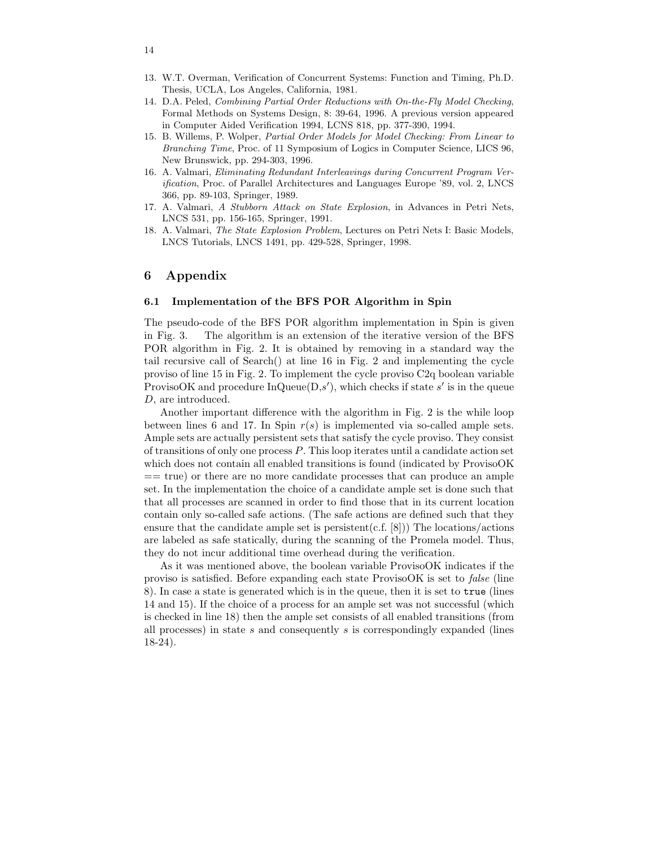- 13. W.T. Overman, Verification of Concurrent Systems: Function and Timing, Ph.D.
- Thesis, UCLA, Los Angeles, California, 1981. 14. D.A. Peled, Combining Partial Order Reductions with On-the-Fly Model Checking, Formal Methods on Systems Design, 8: 39-64, 1996. A previous version appeared in Computer Aided Verification 1994, LCNS 818, pp. 377-390, 1994.
- 15. B. Willems, P. Wolper, Partial Order Models for Model Checking: From Linear to Branching Time, Proc. of 11 Symposium of Logics in Computer Science, LICS 96, New Brunswick, pp. 294-303, 1996.
- 16. A. Valmari, Eliminating Redundant Interleavings during Concurrent Program Verification, Proc. of Parallel Architectures and Languages Europe '89, vol. 2, LNCS 366, pp. 89-103, Springer, 1989.
- 17. A. Valmari, A Stubborn Attack on State Explosion, in Advances in Petri Nets, LNCS 531, pp. 156-165, Springer, 1991.
- 18. A. Valmari, The State Explosion Problem, Lectures on Petri Nets I: Basic Models, LNCS Tutorials, LNCS 1491, pp. 429-528, Springer, 1998.

# **6 Appendix**

#### **6.1 Implementation of the BFS POR Algorithm in Spin**

The pseudo-code of the BFS POR algorithm implementation in Spin is given in Fig. 3. The algorithm is an extension of the iterative version of the BFS POR algorithm in Fig. 2. It is obtained by removing in a standard way the tail recursive call of Search() at line 16 in Fig. 2 and implementing the cycle proviso of line 15 in Fig. 2. To implement the cycle proviso C2q boolean variable ProvisoOK and procedure  $InQueue(D, s')$ , which checks if state s' is in the queue D, are introduced.

Another important difference with the algorithm in Fig. 2 is the while loop between lines 6 and 17. In Spin  $r(s)$  is implemented via so-called ample sets. Ample sets are actually persistent sets that satisfy the cycle proviso. They consist of transitions of only one process P. This loop iterates until a candidate action set which does not contain all enabled transitions is found (indicated by ProvisoOK == true) or there are no more candidate processes that can produce an ample set. In the implementation the choice of a candidate ample set is done such that that all processes are scanned in order to find those that in its current location contain only so-called safe actions. (The safe actions are defined such that they ensure that the candidate ample set is persistent(c.f.  $[8]$ )) The locations/actions are labeled as safe statically, during the scanning of the Promela model. Thus, they do not incur additional time overhead during the verification.

As it was mentioned above, the boolean variable ProvisoOK indicates if the proviso is satisfied. Before expanding each state ProvisoOK is set to *false* (line 8). In case a state is generated which is in the queue, then it is set to true (lines 14 and 15). If the choice of a process for an ample set was not successful (which is checked in line 18) then the ample set consists of all enabled transitions (from all processes) in state s and consequently s is correspondingly expanded (lines 18-24).